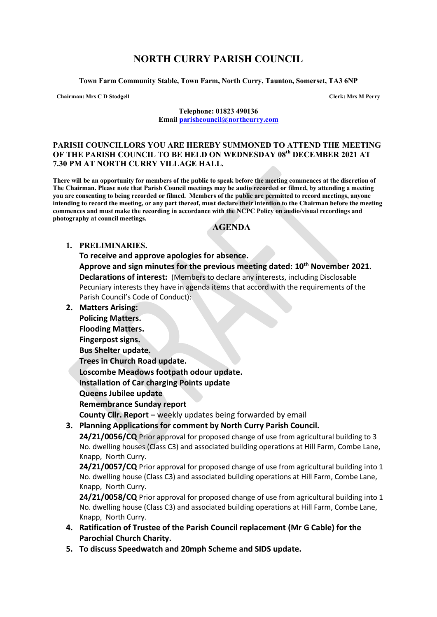# **NORTH CURRY PARISH COUNCIL**

**Town Farm Community Stable, Town Farm, North Curry, Taunton, Somerset, TA3 6NP**

**Chairman: Mrs C D Stodgell Clerk: Mrs M Perry**

**Telephone: 01823 490136 Email [parishcouncil@northcurry.com](mailto:parishcouncil@northcurry.com)**

#### **PARISH COUNCILLORS YOU ARE HEREBY SUMMONED TO ATTEND THE MEETING OF THE PARISH COUNCIL TO BE HELD ON WEDNESDAY 08th DECEMBER 2021 AT 7.30 PM AT NORTH CURRY VILLAGE HALL.**

**There will be an opportunity for members of the public to speak before the meeting commences at the discretion of The Chairman. Please note that Parish Council meetings may be audio recorded or filmed, by attending a meeting you are consenting to being recorded or filmed. Members of the public are permitted to record meetings, anyone intending to record the meeting, or any part thereof, must declare their intention to the Chairman before the meeting commences and must make the recording in accordance with the NCPC Policy on audio/visual recordings and photography at council meetings.** 

### **AGENDA**

### **1. PRELIMINARIES.**

- **To receive and approve apologies for absence. Approve and sign minutes for the previous meeting dated: 10th November 2021. Declarations of interest:** (Members to declare any interests, including Disclosable Pecuniary interests they have in agenda items that accord with the requirements of the Parish Council's Code of Conduct):
- **2. Matters Arising:**

**Policing Matters.**

**Flooding Matters.**

**Fingerpost signs.**

**Bus Shelter update.**

**Trees in Church Road update.**

**Loscombe Meadows footpath odour update.**

**Installation of Car charging Points update**

**Queens Jubilee update**

**Remembrance Sunday report**

**County Cllr. Report –** weekly updates being forwarded by email

**3. Planning Applications for comment by North Curry Parish Council.**

**24/21/0056/CQ** Prior approval for proposed change of use from agricultural building to 3 No. dwelling houses (Class C3) and associated building operations at Hill Farm, Combe Lane, Knapp, North Curry.

**24/21/0057/CQ** Prior approval for proposed change of use from agricultural building into 1 No. dwelling house (Class C3) and associated building operations at Hill Farm, Combe Lane, Knapp, North Curry.

**24/21/0058/CQ** Prior approval for proposed change of use from agricultural building into 1 No. dwelling house (Class C3) and associated building operations at Hill Farm, Combe Lane, Knapp, North Curry.

- **4. Ratification of Trustee of the Parish Council replacement (Mr G Cable) for the Parochial Church Charity.**
- **5. To discuss Speedwatch and 20mph Scheme and SIDS update.**